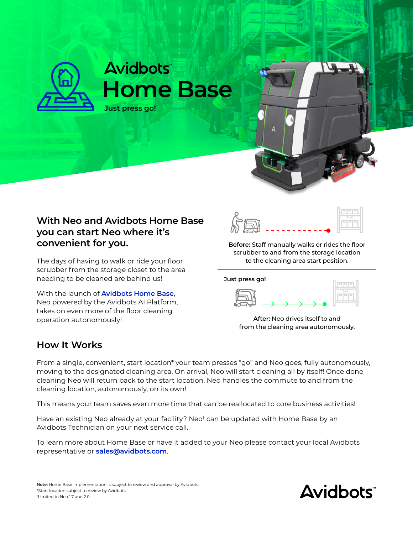

## **With Neo and Avidbots Home Base you can start Neo where it's convenient for you.**

The days of having to walk or ride your floor scrubber from the storage closet to the area needing to be cleaned are behind us!

With the launch of **Avidbots Home Base**, Neo powered by the Avidbots AI Platform, takes on even more of the floor cleaning operation autonomously!

![](_page_0_Figure_4.jpeg)

**Before:** Staff manually walks or rides the floor scrubber to and from the storage location to the cleaning area start position.

![](_page_0_Figure_6.jpeg)

![](_page_0_Figure_7.jpeg)

**After:** Neo drives itself to and from the cleaning area autonomously.

## **How It Works**

From a single, convenient, start location\* your team presses "go" and Neo goes, fully autonomously, moving to the designated cleaning area. On arrival, Neo will start cleaning all by itself! Once done cleaning Neo will return back to the start location. Neo handles the commute to and from the cleaning location, autonomously, on its own!

This means your team saves even more time that can be reallocated to core business activities!

Have an existing Neo already at your facility? Neo† can be updated with Home Base by an Avidbots Technician on your next service call.

To learn more about Home Base or have it added to your Neo please contact your local Avidbots representative or **[sales@avidbots.com](mailto:sales%40avidbots.com?subject=)**.

![](_page_0_Picture_15.jpeg)